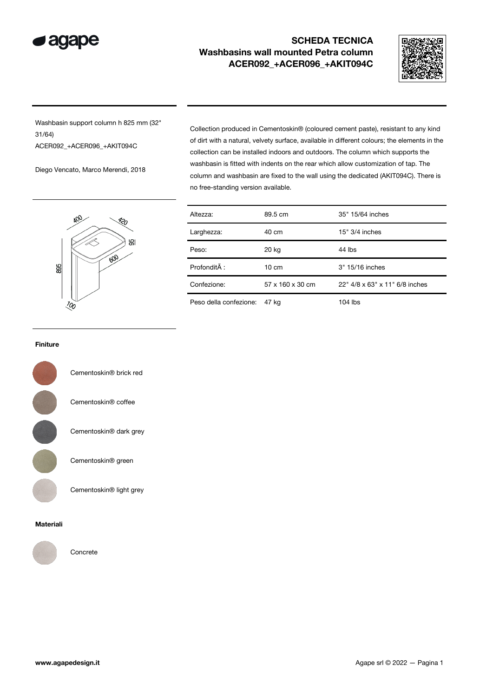

## SCHEDA TECNICA Washbasins wall mounted Petra column ACER092\_+ACER096\_+AKIT094C



Washbasin support column h 825 mm (32" 31/64) ACER092\_+ACER096\_+AKIT094C

Diego Vencato, Marco Merendi, 2018

ЮL や 895

Collection produced in Cementoskin® (coloured cement paste), resistant to any kind of dirt with a natural, velvety surface, available in different colours; the elements in the collection can be installed indoors and outdoors. The column which supports the washbasin is fitted with indents on the rear which allow customization of tap. The column and washbasin are fixed to the wall using the dedicated (AKIT094C). There is no free-standing version available.

| Altezza:               | 89.5 cm          | 35" 15/64 inches               |  |
|------------------------|------------------|--------------------------------|--|
| Larghezza:             | 40 cm            | $15" 3/4$ inches               |  |
| Peso:                  | 20 kg            | 44 lbs                         |  |
| Profondità :           | $10 \text{ cm}$  | 3" 15/16 inches                |  |
| Confezione:            | 57 x 160 x 30 cm | 22" 4/8 x 63" x 11" 6/8 inches |  |
| Peso della confezione: | 47 kg            | 104 lbs                        |  |

## Finiture



Cementoskin® brick red

Cementoskin® coffee

Cementoskin® dark grey

Cementoskin® green

Cementoskin® light grey

## Materiali



Concrete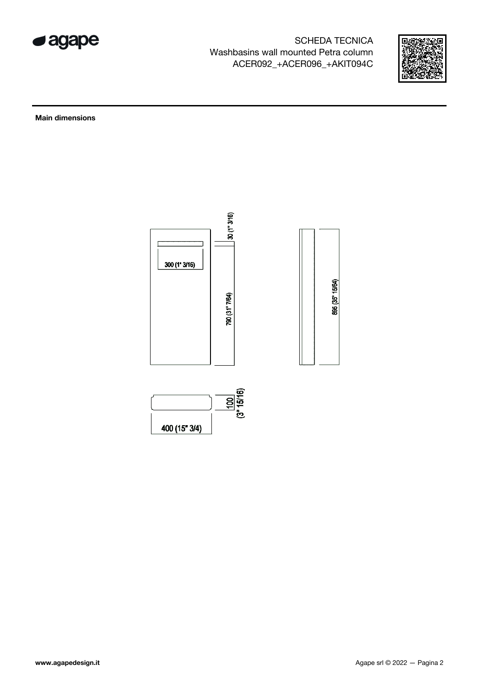

SCHEDA TECNICA Washbasins wall mounted Petra column ACER092\_+ACER096\_+AKIT094C



Main dimensions